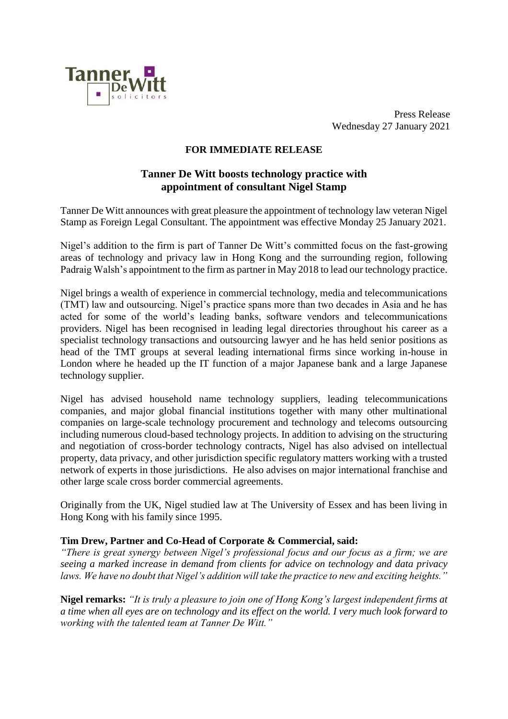

Press Release Wednesday 27 January 2021

# **FOR IMMEDIATE RELEASE**

# **Tanner De Witt boosts technology practice with appointment of consultant Nigel Stamp**

Tanner De Witt announces with great pleasure the appointment of technology law veteran Nigel Stamp as Foreign Legal Consultant. The appointment was effective Monday 25 January 2021.

Nigel's addition to the firm is part of Tanner De Witt's committed focus on the fast-growing areas of technology and privacy law in Hong Kong and the surrounding region, following Padraig Walsh's appointment to the firm as partner in May 2018 to lead our technology practice.

Nigel brings a wealth of experience in commercial technology, media and telecommunications (TMT) law and outsourcing. Nigel's practice spans more than two decades in Asia and he has acted for some of the world's leading banks, software vendors and telecommunications providers. Nigel has been recognised in leading legal directories throughout his career as a specialist technology transactions and outsourcing lawyer and he has held senior positions as head of the TMT groups at several leading international firms since working in-house in London where he headed up the IT function of a major Japanese bank and a large Japanese technology supplier.

Nigel has advised household name technology suppliers, leading telecommunications companies, and major global financial institutions together with many other multinational companies on large-scale technology procurement and technology and telecoms outsourcing including numerous cloud-based technology projects. In addition to advising on the structuring and negotiation of cross-border technology contracts, Nigel has also advised on intellectual property, data privacy, and other jurisdiction specific regulatory matters working with a trusted network of experts in those jurisdictions. He also advises on major international franchise and other large scale cross border commercial agreements.

Originally from the UK, Nigel studied law at The University of Essex and has been living in Hong Kong with his family since 1995.

### **Tim Drew, Partner and Co-Head of Corporate & Commercial, said:**

*"There is great synergy between Nigel's professional focus and our focus as a firm; we are seeing a marked increase in demand from clients for advice on technology and data privacy laws. We have no doubt that Nigel's addition will take the practice to new and exciting heights."*

**Nigel remarks:** *"It is truly a pleasure to join one of Hong Kong's largest independent firms at a time when all eyes are on technology and its effect on the world. I very much look forward to working with the talented team at Tanner De Witt."*